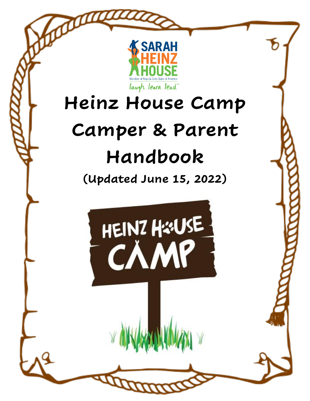

# **Heinz House Camp Camper & Parent Handbook**

**(Updated June 15, 2022)**

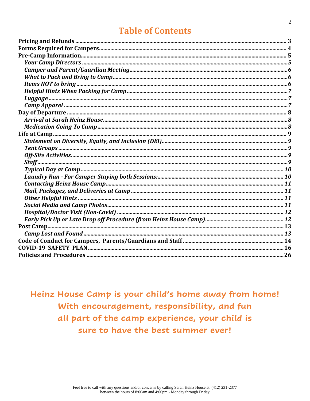### **Table of Contents**

Heinz House Camp is your child's home away from home! With encouragement, responsibility, and fun all part of the camp experience, your child is sure to have the best summer ever!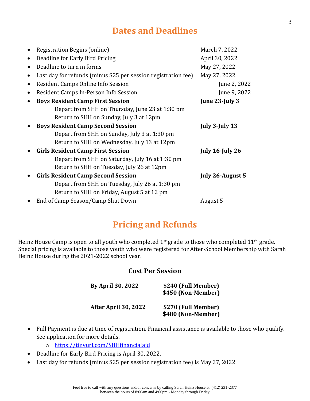### **Dates and Deadlines**

| Registration Begins (online)                                   | March 7, 2022           |
|----------------------------------------------------------------|-------------------------|
| Deadline for Early Bird Pricing                                | April 30, 2022          |
| Deadline to turn in forms                                      | May 27, 2022            |
| Last day for refunds (minus \$25 per session registration fee) | May 27, 2022            |
| Resident Camps Online Info Session                             | June 2, 2022            |
| Resident Camps In-Person Info Session                          | June 9, 2022            |
| <b>Boys Resident Camp First Session</b>                        | June $23$ -July $3$     |
| Depart from SHH on Thursday, June 23 at 1:30 pm                |                         |
| Return to SHH on Sunday, July 3 at 12pm                        |                         |
| <b>Boys Resident Camp Second Session</b>                       | July $3$ -July $13$     |
| Depart from SHH on Sunday, July 3 at 1:30 pm                   |                         |
| Return to SHH on Wednesday, July 13 at 12pm                    |                         |
| <b>Girls Resident Camp First Session</b>                       | <b>July 16-July 26</b>  |
| Depart from SHH on Saturday, July 16 at 1:30 pm                |                         |
| Return to SHH on Tuesday, July 26 at 12pm                      |                         |
| <b>Girls Resident Camp Second Session</b>                      | <b>July 26-August 5</b> |
| Depart from SHH on Tuesday, July 26 at 1:30 pm                 |                         |
| Return to SHH on Friday, August 5 at 12 pm                     |                         |
| End of Camp Season/Camp Shut Down                              | August 5                |

### **Pricing and Refunds**

<span id="page-2-0"></span>Heinz House Camp is open to all youth who completed 1<sup>st</sup> grade to those who completed 11<sup>th</sup> grade. Special pricing is available to those youth who were registered for After-School Membership with Sarah Heinz House during the 2021-2022 school year.

#### **Cost Per Session**

| <b>By April 30, 2022</b> | \$240 (Full Member)<br>\$450 (Non-Member) |
|--------------------------|-------------------------------------------|
| After April 30, 2022     | \$270 (Full Member)<br>\$480 (Non-Member) |

- Full Payment is due at time of registration. Financial assistance is available to those who qualify. See application for more details.
	- o <https://tinyurl.com/SHHfinancialaid>
- Deadline for Early Bird Pricing is April 30, 2022.
- Last day for refunds (minus \$25 per session registration fee) is May 27, 2022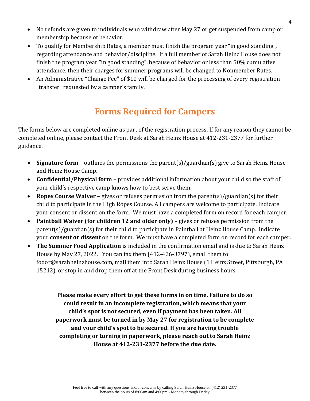- No refunds are given to individuals who withdraw after May 27 or get suspended from camp or membership because of behavior.
- To qualify for Membership Rates, a member must finish the program year "in good standing", regarding attendance and behavior/discipline. If a full member of Sarah Heinz House does not finish the program year "in good standing", because of behavior or less than 50% cumulative attendance, then their charges for summer programs will be changed to Nonmember Rates.
- <span id="page-3-0"></span>• An Administrative "Change Fee" of \$10 will be charged for the processing of every registration "transfer" requested by a camper's family.

### **Forms Required for Campers**

The forms below are completed online as part of the registration process. If for any reason they cannot be completed online, please contact the Front Desk at Sarah Heinz House at 412-231-2377 for further guidance.

- **Signature form** outlines the permissions the parent(s)/guardian(s) give to Sarah Heinz House and Heinz House Camp.
- **Confidential/Physical form** provides additional information about your child so the staff of your child's respective camp knows how to best serve them.
- **Ropes Course Waiver** gives or refuses permission from the parent(s)/guardian(s) for their child to participate in the High Ropes Course. All campers are welcome to participate. Indicate your consent or dissent on the form. We must have a completed form on record for each camper.
- **Paintball Waiver (for children 12 and older only)** gives or refuses permission from the parent(s)/guardian(s) for their child to participate in Paintball at Heinz House Camp. Indicate your **consent or dissent** on the form. We must have a completed form on record for each camper.
- **The Summer Food Application** is included in the confirmation email and is due to Sarah Heinz House by May 27, 2022. You can fax them (412-426-3797), email them to fodor@sarahheinzhouse.com, mail them into Sarah Heinz House (1 Heinz Street, Pittsburgh, PA 15212), or stop in and drop them off at the Front Desk during business hours.

**Please make every effort to get these forms in on time. Failure to do so could result in an incomplete registration, which means that your child's spot is not secured, even if payment has been taken. All paperwork must be turned in by May 27 for registration to be complete and your child's spot to be secured. If you are having trouble completing or turning in paperwork, please reach out to Sarah Heinz House at 412-231-2377 before the due date.**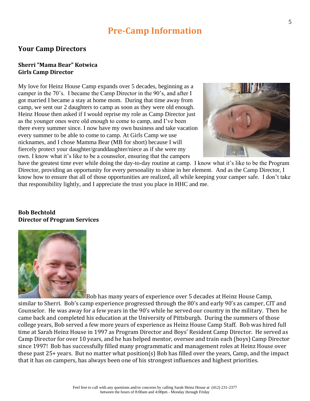### **Pre-Camp Information**

#### <span id="page-4-1"></span><span id="page-4-0"></span>**Your Camp Directors**

#### **Sherri "Mama Bear" Kotwica Girls Camp Director**

My love for Heinz House Camp expands over 5 decades, beginning as a camper in the 70's. I became the Camp Director in the 90's, and after I got married I became a stay at home mom. During that time away from camp, we sent our 2 daughters to camp as soon as they were old enough. Heinz House then asked if I would reprise my role as Camp Director just as the younger ones were old enough to come to camp, and I've been there every summer since. I now have my own business and take vacation every summer to be able to come to camp. At Girls Camp we use nicknames, and I chose Mamma Bear (MB for short) because I will fiercely protect your daughter/granddaughter/niece as if she were my own. I know what it's like to be a counselor, ensuring that the campers



have the greatest time ever while doing the day-to-day routine at camp. I know what it's like to be the Program Director, providing an opportunity for every personality to shine in her element. And as the Camp Director, I know how to ensure that all of those opportunities are realized, all while keeping your camper safe. I don't take that responsibility lightly, and I appreciate the trust you place in HHC and me.

#### **Bob Bechtold Director of Program Services**



Bob has many years of experience over 5 decades at Heinz House Camp, similar to Sherri. Bob's camp experience progressed through the 80's and early 90's as camper, CIT and Counselor. He was away for a few years in the 90's while he served our country in the military. Then he came back and completed his education at the University of Pittsburgh. During the summers of those college years, Bob served a few more years of experience as Heinz House Camp Staff. Bob was hired full time at Sarah Heinz House in 1997 as Program Director and Boys' Resident Camp Director. He served as Camp Director for over 10 years, and he has helped mentor, oversee and train each (boys) Camp Director since 1997! Bob has successfully filled many programmatic and management roles at Heinz House over these past 25+ years. But no matter what position(s) Bob has filled over the years, Camp, and the impact that it has on campers, has always been one of his strongest influences and highest priorities.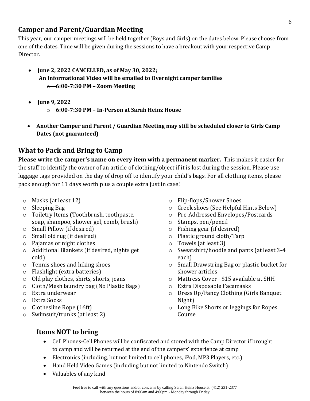#### <span id="page-5-0"></span>**Camper and Parent/Guardian Meeting**

This year, our camper meetings will be held together (Boys and Girls) on the dates below. Please choose from one of the dates. Time will be given during the sessions to have a breakout with your respective Camp Director.

- **June 2, 2022 CANCELLED, as of May 30, 2022; An Informational Video will be emailed to Overnight camper families** o **6:00-7:30 PM – Zoom Meeting**
- **June 9, 2022**
	- o **6:00-7:30 PM – In-Person at Sarah Heinz House**
- **Another Camper and Parent / Guardian Meeting may still be scheduled closer to Girls Camp Dates (not guaranteed)**

#### <span id="page-5-1"></span>**What to Pack and Bring to Camp**

**Please write the camper's name on every item with a permanent marker.** This makes it easier for the staff to identify the owner of an article of clothing/object if it is lost during the session. Please use luggage tags provided on the day of drop off to identify your child's bags. For all clothing items, please pack enough for 11 days worth plus a couple extra just in case!

- o Masks (at least 12)
- o Sleeping Bag
- o Toiletry Items (Toothbrush, toothpaste, soap, shampoo, shower gel, comb, brush)
- o Small Pillow (if desired)
- o Small old rug (if desired)
- o Pajamas or night clothes
- o Additional Blankets (if desired, nights get cold)
- o Tennis shoes and hiking shoes
- o Flashlight (extra batteries)
- o Old play clothes, shirts, shorts, jeans
- o Cloth/Mesh laundry bag (No Plastic Bags)
- o Extra underwear
- o Extra Socks
- o Clothesline Rope (16ft)
- o Swimsuit/trunks (at least 2)
- o Flip-flops/Shower Shoes
- o Creek shoes (See Helpful Hints Below)
- o Pre-Addressed Envelopes/Postcards
- o Stamps, pen/pencil
- o Fishing gear (if desired)
- o Plastic ground cloth/Tarp
- o Towels (at least 3)
- o Sweatshirt/hoodie and pants (at least 3-4 each)
- o Small Drawstring Bag or plastic bucket for shower articles
- o Mattress Cover \$15 available at SHH
- o Extra Disposable Facemasks
- o Dress Up/Fancy Clothing (Girls Banquet Night)
- o Long Bike Shorts or leggings for Ropes Course

### <span id="page-5-2"></span>**Items NOT to bring**

- Cell Phones-Cell Phones will be confiscated and stored with the Camp Director if brought to camp and will be returned at the end of the campers' experience at camp
- Electronics (including, but not limited to cell phones, iPod, MP3 Players, etc.)
- Hand Held Video Games (including but not limited to Nintendo Switch)
- Valuables of any kind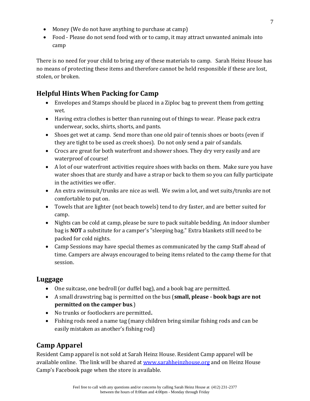- Money (We do not have anything to purchase at camp)
- Food Please do not send food with or to camp, it may attract unwanted animals into camp

There is no need for your child to bring any of these materials to camp. Sarah Heinz House has no means of protecting these items and therefore cannot be held responsible if these are lost, stolen, or broken.

#### <span id="page-6-0"></span>**Helpful Hints When Packing for Camp**

- Envelopes and Stamps should be placed in a Ziploc bag to prevent them from getting wet.
- Having extra clothes is better than running out of things to wear. Please pack extra underwear, socks, shirts, shorts, and pants.
- Shoes get wet at camp. Send more than one old pair of tennis shoes or boots (even if they are tight to be used as creek shoes). Do not only send a pair of sandals.
- Crocs are great for both waterfront and shower shoes. They dry very easily and are waterproof of course!
- A lot of our waterfront activities require shoes with backs on them. Make sure you have water shoes that are sturdy and have a strap or back to them so you can fully participate in the activities we offer.
- An extra swimsuit/trunks are nice as well. We swim a lot, and wet suits/trunks are not comfortable to put on.
- Towels that are lighter (not beach towels) tend to dry faster, and are better suited for camp.
- Nights can be cold at camp, please be sure to pack suitable bedding. An indoor slumber bag is **NOT** a substitute for a camper's "sleeping bag." Extra blankets still need to be packed for cold nights.
- Camp Sessions may have special themes as communicated by the camp Staff ahead of time. Campers are always encouraged to being items related to the camp theme for that session.

#### <span id="page-6-1"></span>**Luggage**

- One suitcase, one bedroll (or duffel bag), and a book bag are permitted.
- A small drawstring bag is permitted on the bus (**small, please - book bags are not permitted on the camper bus**.)
- No trunks or footlockers are permitted**.**
- Fishing rods need a name tag (many children bring similar fishing rods and can be easily mistaken as another's fishing rod)

#### <span id="page-6-2"></span>**Camp Apparel**

Resident Camp apparel is not sold at Sarah Heinz House. Resident Camp apparel will be available online. The link will be shared at [www.sarahheinzhouse.org](http://www.sarahheinzhouse.org/) and on Heinz House Camp's Facebook page when the store is available.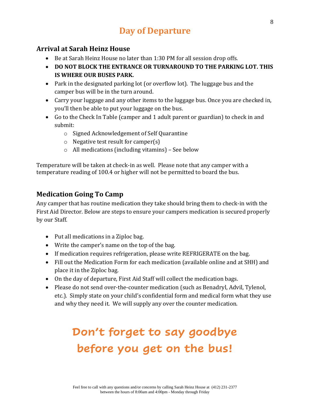### **Day of Departure**

#### <span id="page-7-1"></span><span id="page-7-0"></span>**Arrival at Sarah Heinz House**

- Be at Sarah Heinz House no later than 1:30 PM for all session drop offs.
- **DO NOT BLOCK THE ENTRANCE OR TURNAROUND TO THE PARKING LOT. THIS IS WHERE OUR BUSES PARK.**
- Park in the designated parking lot (or overflow lot). The luggage bus and the camper bus will be in the turn around.
- Carry your luggage and any other items to the luggage bus. Once you are checked in, you'll then be able to put your luggage on the bus.
- Go to the Check In Table (camper and 1 adult parent or guardian) to check in and submit:
	- o Signed Acknowledgement of Self Quarantine
	- o Negative test result for camper(s)
	- o All medications (including vitamins) See below

Temperature will be taken at check-in as well. Please note that any camper with a temperature reading of 100.4 or higher will not be permitted to board the bus.

#### <span id="page-7-2"></span>**Medication Going To Camp**

Any camper that has routine medication they take should bring them to check-in with the First Aid Director. Below are steps to ensure your campers medication is secured properly by our Staff.

- Put all medications in a Ziploc bag.
- Write the camper's name on the top of the bag.
- If medication requires refrigeration, please write REFRIGERATE on the bag.
- Fill out the Medication Form for each medication (available online and at SHH) and place it in the Ziploc bag.
- On the day of departure, First Aid Staff will collect the medication bags.
- Please do not send over-the-counter medication (such as Benadryl, Advil, Tylenol, etc.). Simply state on your child's confidential form and medical form what they use and why they need it. We will supply any over the counter medication.

## **Don't forget to say goodbye before you get on the bus!**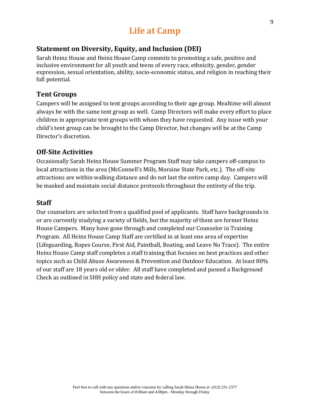### **Life at Camp**

#### <span id="page-8-1"></span><span id="page-8-0"></span>**Statement on Diversity, Equity, and Inclusion (DEI)**

Sarah Heinz House and Heinz House Camp commits to promoting a safe, positive and inclusive environment for all youth and teens of every race, ethnicity, gender, gender expression, sexual orientation, ability, socio-economic status, and religion in reaching their full potential.

#### <span id="page-8-2"></span>**Tent Groups**

Campers will be assigned to tent groups according to their age group. Mealtime will almost always be with the same tent group as well. Camp Directors will make every effort to place children in appropriate tent groups with whom they have requested. Any issue with your child's tent group can be brought to the Camp Director, but changes will be at the Camp Director's discretion.

#### <span id="page-8-3"></span>**Off-Site Activities**

Occasionally Sarah Heinz House Summer Program Staff may take campers off-campus to local attractions in the area (McConnell's Mills, Moraine State Park, etc.). The off-site attractions are within walking distance and do not last the entire camp day. Campers will be masked and maintain social distance protocols throughout the entirety of the trip.

#### <span id="page-8-4"></span>**Staff**

Our counselors are selected from a qualified pool of applicants. Staff have backgrounds in or are currently studying a variety of fields, but the majority of them are former Heinz House Campers. Many have gone through and completed our Counselor in Training Program. All Heinz House Camp Staff are certified in at least one area of expertise (Lifeguarding, Ropes Course, First Aid, Paintball, Boating, and Leave No Trace). The entire Heinz House Camp staff completes a staff training that focuses on best practices and other topics such as Child Abuse Awareness & Prevention and Outdoor Education. At least 80% of our staff are 18 years old or older. All staff have completed and passed a Background Check as outlined in SHH policy and state and federal law.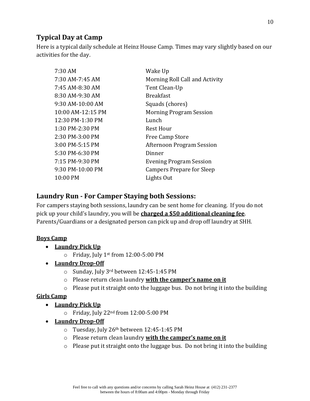#### <span id="page-9-0"></span>**Typical Day at Camp**

Here is a typical daily schedule at Heinz House Camp. Times may vary slightly based on our activities for the day.

| 7:30 AM             | Wake Up                          |
|---------------------|----------------------------------|
| 7:30 AM-7:45 AM     | Morning Roll Call and Activity   |
| 7:45 AM-8:30 AM     | Tent Clean-Up                    |
| 8:30 AM-9:30 AM     | <b>Breakfast</b>                 |
| 9:30 AM-10:00 AM    | Squads (chores)                  |
| $10:00$ AM-12:15 PM | <b>Morning Program Session</b>   |
| 12:30 PM-1:30 PM    | Lunch                            |
| 1:30 PM-2:30 PM     | <b>Rest Hour</b>                 |
| 2:30 PM-3:00 PM     | Free Camp Store                  |
| 3:00 PM-5:15 PM     | Afternoon Program Session        |
| 5:30 PM-6:30 PM     | Dinner                           |
| 7:15 PM-9:30 PM     | <b>Evening Program Session</b>   |
| 9:30 PM-10:00 PM    | <b>Campers Prepare for Sleep</b> |
| 10:00 PM            | Lights Out                       |

#### <span id="page-9-1"></span>**Laundry Run - For Camper Staying both Sessions:**

For campers staying both sessions, laundry can be sent home for cleaning. If you do not pick up your child's laundry, you will be **charged a \$50 additional cleaning fee**. Parents/Guardians or a designated person can pick up and drop off laundry at SHH.

#### **Boys Camp**

- **Laundry Pick Up**
	- $\circ$  Friday, July 1st from 12:00-5:00 PM
- **Laundry Drop-Off**
	- o Sunday, July 3rd between 12:45-1:45 PM
	- o Please return clean laundry **with the camper's name on it**
	- o Please put it straight onto the luggage bus. Do not bring it into the building

#### **Girls Camp**

- **Laundry Pick Up**
	- o Friday, July 22nd from 12:00-5:00 PM
- **Laundry Drop-Off**
	- o Tuesday, July 26th between 12:45-1:45 PM
	- o Please return clean laundry **with the camper's name on it**
	- o Please put it straight onto the luggage bus. Do not bring it into the building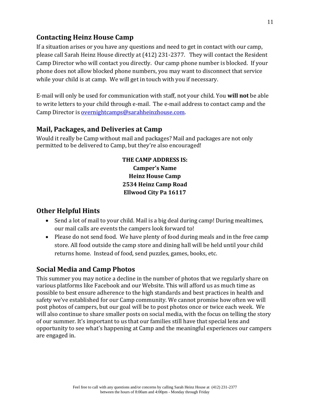#### <span id="page-10-0"></span>**Contacting Heinz House Camp**

If a situation arises or you have any questions and need to get in contact with our camp, please call Sarah Heinz House directly at (412) 231-2377. They will contact the Resident Camp Director who will contact you directly. Our camp phone number is blocked. If your phone does not allow blocked phone numbers, you may want to disconnect that service while your child is at camp. We will get in touch with you if necessary.

E-mail will only be used for communication with staff, not your child. You **will not** be able to write letters to your child through e-mail. The e-mail address to contact camp and the Camp Director is [overnightcamps@sarahheinzhouse.com.](mailto:overnightcamps@sarahheinzhouse.com)

#### <span id="page-10-1"></span>**Mail, Packages, and Deliveries at Camp**

Would it really be Camp without mail and packages? Mail and packages are not only permitted to be delivered to Camp, but they're also encouraged!

> **THE CAMP ADDRESS IS: Camper's Name Heinz House Camp 2534 Heinz Camp Road Ellwood City Pa 16117**

#### <span id="page-10-2"></span>**Other Helpful Hints**

- Send a lot of mail to your child. Mail is a big deal during camp! During mealtimes, our mail calls are events the campers look forward to!
- Please do not send food. We have plenty of food during meals and in the free camp store. All food outside the camp store and dining hall will be held until your child returns home. Instead of food, send puzzles, games, books, etc.

#### <span id="page-10-3"></span>**Social Media and Camp Photos**

This summer you may notice a decline in the number of photos that we regularly share on various platforms like Facebook and our Website. This will afford us as much time as possible to best ensure adherence to the high standards and best practices in health and safety we've established for our Camp community. We cannot promise how often we will post photos of campers, but our goal will be to post photos once or twice each week. We will also continue to share smaller posts on social media, with the focus on telling the story of our summer. It's important to us that our families still have that special lens and opportunity to see what's happening at Camp and the meaningful experiences our campers are engaged in.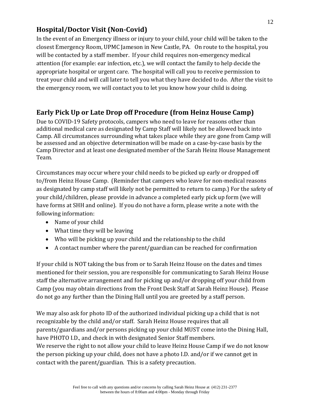#### <span id="page-11-0"></span>**Hospital/Doctor Visit (Non-Covid)**

In the event of an Emergency illness or injury to your child, your child will be taken to the closest Emergency Room, UPMC Jameson in New Castle, PA. On route to the hospital, you will be contacted by a staff member. If your child requires non-emergency medical attention (for example: ear infection, etc.), we will contact the family to help decide the appropriate hospital or urgent care. The hospital will call you to receive permission to treat your child and will call later to tell you what they have decided to do. After the visit to the emergency room, we will contact you to let you know how your child is doing.

#### <span id="page-11-1"></span>**Early Pick Up or Late Drop off Procedure (from Heinz House Camp)**

Due to COVID-19 Safety protocols, campers who need to leave for reasons other than additional medical care as designated by Camp Staff will likely not be allowed back into Camp. All circumstances surrounding what takes place while they are gone from Camp will be assessed and an objective determination will be made on a case-by-case basis by the Camp Director and at least one designated member of the Sarah Heinz House Management Team.

Circumstances may occur where your child needs to be picked up early or dropped off to/from Heinz House Camp. (Reminder that campers who leave for non-medical reasons as designated by camp staff will likely not be permitted to return to camp.) For the safety of your child/children, please provide in advance a completed early pick up form (we will have forms at SHH and online). If you do not have a form, please write a note with the following information:

- Name of your child
- What time they will be leaving
- Who will be picking up your child and the relationship to the child
- A contact number where the parent/guardian can be reached for confirmation

If your child is NOT taking the bus from or to Sarah Heinz House on the dates and times mentioned for their session, you are responsible for communicating to Sarah Heinz House staff the alternative arrangement and for picking up and/or dropping off your child from Camp (you may obtain directions from the Front Desk Staff at Sarah Heinz House). Please do not go any further than the Dining Hall until you are greeted by a staff person.

We may also ask for photo ID of the authorized individual picking up a child that is not recognizable by the child and/or staff. Sarah Heinz House requires that all parents/guardians and/or persons picking up your child MUST come into the Dining Hall, have PHOTO I.D., and check in with designated Senior Staff members. We reserve the right to not allow your child to leave Heinz House Camp if we do not know the person picking up your child, does not have a photo I.D. and/or if we cannot get in contact with the parent/guardian. This is a safety precaution.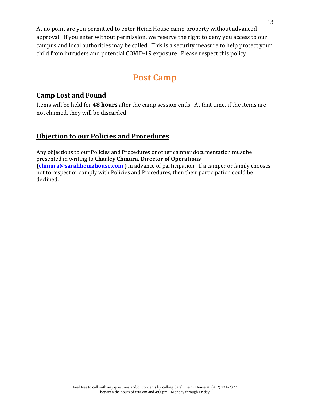At no point are you permitted to enter Heinz House camp property without advanced approval. If you enter without permission, we reserve the right to deny you access to our campus and local authorities may be called. This is a security measure to help protect your child from intruders and potential COVID-19 exposure. Please respect this policy.

### **Post Camp**

#### <span id="page-12-1"></span><span id="page-12-0"></span>**Camp Lost and Found**

Items will be held for **48 hours** after the camp session ends. At that time, if the items are not claimed, they will be discarded.

#### **Objection to our Policies and Procedures**

Any objections to our Policies and Procedures or other camper documentation must be presented in writing to **Charley Chmura, Director of Operations [\(chmura@sarahheinzhouse.com](mailto:chmura@sarahheinzhouse.com) )** in advance of participation. If a camper or family chooses not to respect or comply with Policies and Procedures, then their participation could be declined.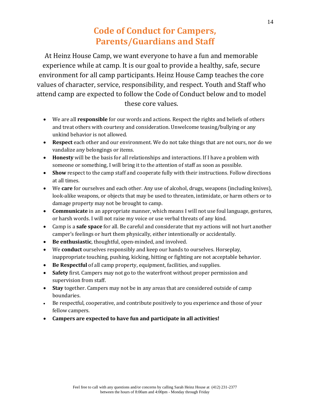### **Code of Conduct for Campers, Parents/Guardians and Staff**

<span id="page-13-0"></span>At Heinz House Camp, we want everyone to have a fun and memorable experience while at camp. It is our goal to provide a healthy, safe, secure environment for all camp participants. Heinz House Camp teaches the core values of character, service, responsibility, and respect. Youth and Staff who attend camp are expected to follow the Code of Conduct below and to model these core values.

- We are all **responsible** for our words and actions. Respect the rights and beliefs of others and treat others with courtesy and consideration. Unwelcome teasing/bullying or any unkind behavior is not allowed.
- **Respect** each other and our environment. We do not take things that are not ours, nor do we vandalize any belongings or items.
- **Honesty** will be the basis for all relationships and interactions. If I have a problem with someone or something, I will bring it to the attention of staff as soon as possible.
- **Show** respect to the camp staff and cooperate fully with their instructions. Follow directions at all times.
- We **care** for ourselves and each other. Any use of alcohol, drugs, weapons (including knives), look-alike weapons, or objects that may be used to threaten, intimidate, or harm others or to damage property may not be brought to camp.
- **Communicate** in an appropriate manner, which means I will not use foul language, gestures, or harsh words. I will not raise my voice or use verbal threats of any kind.
- Camp is a **safe space** for all. Be careful and considerate that my actions will not hurt another camper's feelings or hurt them physically, either intentionally or accidentally.
- **Be enthusiastic**, thoughtful, open-minded, and involved.
- We **conduct** ourselves responsibly and keep our hands to ourselves. Horseplay, inappropriate touching, pushing, kicking, hitting or fighting are not acceptable behavior.
- **Be Respectful** of all camp property, equipment, facilities, and supplies.
- **Safety** first. Campers may not go to the waterfront without proper permission and supervision from staff.
- **Stay** together. Campers may not be in any areas that are considered outside of camp boundaries.
- Be respectful, cooperative, and contribute positively to you experience and those of your fellow campers.
- **Campers are expected to have fun and participate in all activities!**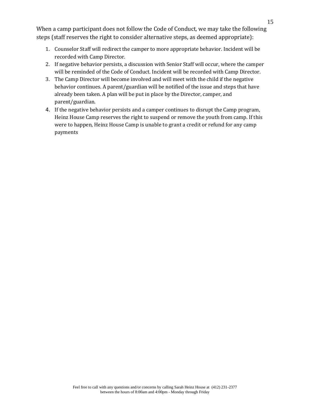When a camp participant does not follow the Code of Conduct, we may take the following steps (staff reserves the right to consider alternative steps, as deemed appropriate):

- 1. Counselor Staff will redirect the camper to more appropriate behavior. Incident will be recorded with Camp Director.
- 2. If negative behavior persists, a discussion with Senior Staff will occur, where the camper will be reminded of the Code of Conduct. Incident will be recorded with Camp Director.
- 3. The Camp Director will become involved and will meet with the child if the negative behavior continues. A parent/guardian will be notified of the issue and steps that have already been taken. A plan will be put in place by the Director, camper, and parent/guardian.
- 4. If the negative behavior persists and a camper continues to disrupt the Camp program, Heinz House Camp reserves the right to suspend or remove the youth from camp. If this were to happen, Heinz House Camp is unable to grant a credit or refund for any camp payments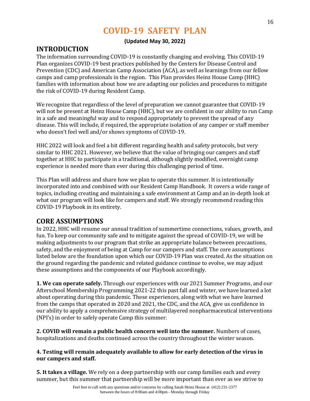### **COVID-19 SAFETY PLAN**

#### **(Updated May 30, 2022)**

#### <span id="page-15-0"></span>**INTRODUCTION**

The information surrounding COVID-19 is constantly changing and evolving. This COVID-19 Plan organizes COVID-19 best practices published by the Centers for Disease Control and Prevention (CDC) and American Camp Association (ACA), as well as learnings from our fellow camps and camp professionals in the region. This Plan provides Heinz House Camp (HHC) families with information about how we are adapting our policies and procedures to mitigate the risk of COVID-19 during Resident Camp.

We recognize that regardless of the level of preparation we cannot guarantee that COVID-19 will not be present at Heinz House Camp (HHC), but we are confident in our ability to run Camp in a safe and meaningful way and to respond appropriately to prevent the spread of any disease. This will include, if required, the appropriate isolation of any camper or staff member who doesn't feel well and/or shows symptoms of COVID-19.

HHC 2022 will look and feel a bit different regarding health and safety protocols, but very similar to HHC 2021. However, we believe that the value of bringing our campers and staff together at HHC to participate in a traditional, although slightly modified, overnight camp experience is needed more than ever during this challenging period of time.

This Plan will address and share how we plan to operate this summer. It is intentionally incorporated into and combined with our Resident Camp Handbook. It covers a wide range of topics, including creating and maintaining a safe environment at Camp and an in-depth look at what our program will look like for campers and staff. We strongly recommend reading this COVID-19 Playbook in its entirety.

#### **CORE ASSUMPTIONS**

In 2022, HHC will resume our annual tradition of summertime connections, values, growth, and fun. To keep our community safe and to mitigate against the spread of COVID-19, we will be making adjustments to our program that strike an appropriate balance between precautions, safety, and the enjoyment of being at Camp for our campers and staff. The core assumptions listed below are the foundation upon which our COVID-19 Plan was created. As the situation on the ground regarding the pandemic and related guidance continue to evolve, we may adjust these assumptions and the components of our Playbook accordingly.

**1. We can operate safely.** Through our experiences with our 2021 Summer Programs, and our Afterschool Membership Programming 2021-22 this past fall and winter, we have learned a lot about operating during this pandemic. These experiences, along with what we have learned from the camps that operated in 2020 and 2021, the CDC, and the ACA, give us confidence in our ability to apply a comprehensive strategy of multilayered nonpharmaceutical interventions (NPI's) in order to safely operate Camp this summer.

**2. COVID will remain a public health concern well into the summer.** Numbers of cases, hospitalizations and deaths continued across the country throughout the winter season.

#### **4. Testing will remain adequately available to allow for early detection of the virus in our campers and staff.**

**5. It takes a village.** We rely on a deep partnership with our camp families each and every summer, but this summer that partnership will be more important than ever as we strive to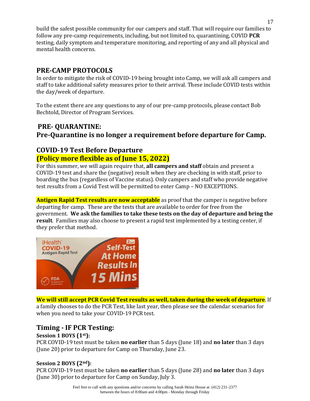build the safest possible community for our campers and staff. That will require our families to follow any pre-camp requirements, including, but not limited to, quarantining, COVID **PCR** testing, daily symptom and temperature monitoring, and reporting of any and all physical and mental health concerns.

#### **PRE-CAMP PROTOCOLS**

In order to mitigate the risk of COVID-19 being brought into Camp, we will ask all campers and staff to take additional safety measures prior to their arrival. These include COVID tests within the day/week of departure.

To the extent there are any questions to any of our pre-camp protocols, please contact Bob Bechtold, Director of Program Services.

### **PRE- QUARANTINE: Pre-Quarantine is no longer a requirement before departure for Camp.**

#### **COVID-19 Test Before Departure (Policy more flexible as of June 15, 2022)**

For this summer, we will again require that, **all campers and staff** obtain and present a COVID-19 test and share the (negative) result when they are checking in with staff, prior to boarding the bus (regardless of Vaccine status). Only campers and staff who provide negative test results from a Covid Test will be permitted to enter Camp – NO EXCEPTIONS.

**Antigen Rapid Test results are now acceptable** as proof that the camper is negative before departing for camp. These are the tests that are available to order for free from the government. **We ask the families to take these tests on the day of departure and bring the result**. Families may also choose to present a rapid test implemented by a testing center, if they prefer that method.



**We will still accept PCR Covid Test results as well, taken during the week of departure**. If a family chooses to do the PCR Test, like last year, then please see the calendar scenarios for when you need to take your COVID-19 PCR test.

#### **Timing - IF PCR Testing:**

#### **Session 1 BOYS (1st):**

PCR COVID-19 test must be taken **no earlier** than 5 days (June 18) and **no later** than 3 days (June 20) prior to departure for Camp on Thursday, June 23.

#### **Session 2 BOYS (2nd):**

PCR COVID-19 test must be taken **no earlier** than 5 days (June 28) and **no later** than 3 days (June 30) prior to departure for Camp on Sunday, July 3.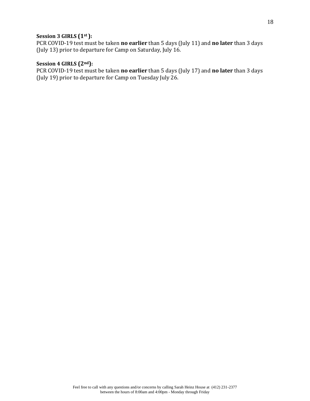#### **Session 3 GIRLS (1st ):**

PCR COVID-19 test must be taken **no earlier** than 5 days (July 11) and **no later** than 3 days (July 13) prior to departure for Camp on Saturday, July 16.

#### **Session 4 GIRLS (2nd):**

PCR COVID-19 test must be taken **no earlier** than 5 days (July 17) and **no later** than 3 days (July 19) prior to departure for Camp on Tuesday July 26.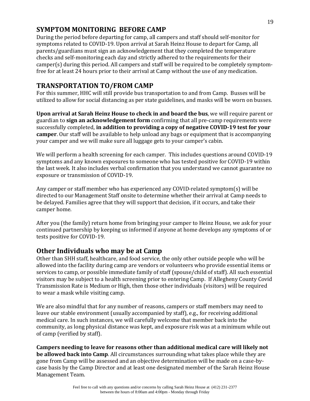#### **SYMPTOM MONITORING BEFORE CAMP**

During the period before departing for camp, all campers and staff should self-monitor for symptoms related to COVID-19. Upon arrival at Sarah Heinz House to depart for Camp, all parents/guardians must sign an acknowledgement that they completed the temperature checks and self-monitoring each day and strictly adhered to the requirements for their camper(s) during this period. All campers and staff will be required to be completely symptomfree for at least 24 hours prior to their arrival at Camp without the use of any medication.

#### **TRANSPORTATION TO/FROM CAMP**

For this summer, HHC will still provide bus transportation to and from Camp. Busses will be utilized to allow for social distancing as per state guidelines, and masks will be worn on busses.

**Upon arrival at Sarah Heinz House to check in and board the bus**, we will require parent or guardian to **sign an acknowledgement form** confirming that all pre-camp requirements were successfully completed, **in addition to providing a copy of negative COVID-19 test for your camper**. Our staff will be available to help unload any bags or equipment that is accompanying your camper and we will make sure all luggage gets to your camper's cabin.

We will perform a health screening for each camper. This includes questions around COVID-19 symptoms and any known exposures to someone who has tested positive for COVID-19 within the last week. It also includes verbal confirmation that you understand we cannot guarantee no exposure or transmission of COVID-19.

Any camper or staff member who has experienced any COVID-related symptom(s) will be directed to our Management Staff onsite to determine whether their arrival at Camp needs to be delayed. Families agree that they will support that decision, if it occurs, and take their camper home.

After you (the family) return home from bringing your camper to Heinz House, we ask for your continued partnership by keeping us informed if anyone at home develops any symptoms of or tests positive for COVID-19.

#### **Other Individuals who may be at Camp**

Other than SHH staff, healthcare, and food service, the only other outside people who will be allowed into the facility during camp are vendors or volunteers who provide essential items or services to camp, or possible immediate family of staff (spouse/child of staff). All such essential visitors may be subject to a health screening prior to entering Camp. If Allegheny County Covid Transmission Rate is Medium or High, then those other individuals (visitors) will be required to wear a mask while visiting camp.

We are also mindful that for any number of reasons, campers or staff members may need to leave our stable environment (usually accompanied by staff), e.g., for receiving additional medical care. In such instances, we will carefully welcome that member back into the community, as long physical distance was kept, and exposure risk was at a minimum while out of camp (verified by staff).

**Campers needing to leave for reasons other than additional medical care will likely not be allowed back into Camp**. All circumstances surrounding what takes place while they are gone from Camp will be assessed and an objective determination will be made on a case-bycase basis by the Camp Director and at least one designated member of the Sarah Heinz House Management Team.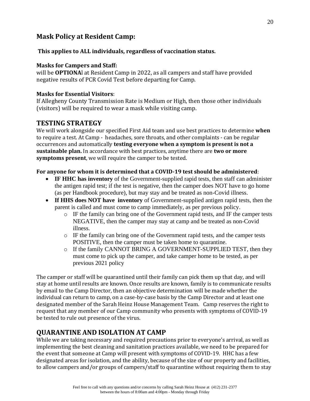#### **Mask Policy at Resident Camp:**

#### **This applies to ALL individuals, regardless of vaccination status.**

#### **Masks for Campers and Staff:**

will be **OPTIONA**l at Resident Camp in 2022, as all campers and staff have provided negative results of PCR Covid Test before departing for Camp.

#### **Masks for Essential Visitors**:

If Allegheny County Transmission Rate is Medium or High, then those other individuals (visitors) will be required to wear a mask while visiting camp.

#### **TESTING STRATEGY**

We will work alongside our specified First Aid team and use best practices to determine **when**  to require a test. At Camp - headaches, sore throats, and other complaints - can be regular occurrences and automatically **testing everyone when a symptom is present is not a sustainable plan.** In accordance with best practices, anytime there are **two or more symptoms present**, we will require the camper to be tested.

#### **For anyone for whom it is determined that a COVID-19 test should be administered**:

- **IF HHC has inventory** of the Government-supplied rapid tests, then staff can administer the antigen rapid test; if the test is negative, then the camper does NOT have to go home (as per Handbook procedure), but may stay and be treated as non-Covid illness.
- **If HHS does NOT have inventory** of Government-supplied antigen rapid tests, then the parent is called and must come to camp immediately, as per previous policy.
	- o IF the family can bring one of the Government rapid tests, and IF the camper tests NEGATIVE, then the camper may stay at camp and be treated as non-Covid illness.
	- o IF the family can bring one of the Government rapid tests, and the camper tests POSITIVE, then the camper must be taken home to quarantine.
	- o If the family CANNOT BRING A GOVERNMENT-SUPPLIED TEST, then they must come to pick up the camper, and take camper home to be tested, as per previous 2021 policy

The camper or staff will be quarantined until their family can pick them up that day, and will stay at home until results are known. Once results are known, family is to communicate results by email to the Camp Director, then an objective determination will be made whether the individual can return to camp, on a case-by-case basis by the Camp Director and at least one designated member of the Sarah Heinz House Management Team. Camp reserves the right to request that any member of our Camp community who presents with symptoms of COVID-19 be tested to rule out presence of the virus.

#### **QUARANTINE AND ISOLATION AT CAMP**

While we are taking necessary and required precautions prior to everyone's arrival, as well as implementing the best cleaning and sanitation practices available, we need to be prepared for the event that someone at Camp will present with symptoms of COVID-19. HHC has a few designated areas for isolation, and the ability, because of the size of our property and facilities, to allow campers and/or groups of campers/staff to quarantine without requiring them to stay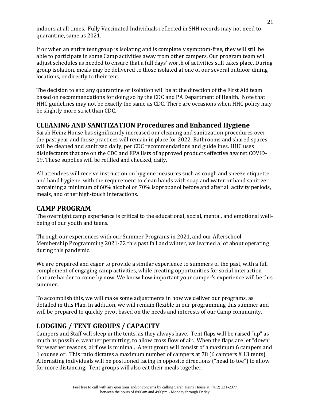indoors at all times. Fully Vaccinated Individuals reflected in SHH records may not need to quarantine, same as 2021.

If or when an entire tent group is isolating and is completely symptom-free, they will still be able to participate in some Camp activities away from other campers. Our program team will adjust schedules as needed to ensure that a full days' worth of activities still takes place. During group isolation, meals may be delivered to those isolated at one of our several outdoor dining locations, or directly to their tent.

The decision to end any quarantine or isolation will be at the direction of the First Aid team based on recommendations for doing so by the CDC and PA Department of Health. Note that HHC guidelines may not be exactly the same as CDC. There are occasions when HHC policy may be slightly more strict than CDC.

#### **CLEANING AND SANITIZATION Procedures and Enhanced Hygiene**

Sarah Heinz House has significantly increased our cleaning and sanitization procedures over the past year and those practices will remain in place for 2022. Bathrooms and shared spaces will be cleaned and sanitized daily, per CDC recommendations and guidelines. HHC uses disinfectants that are on the CDC and EPA lists of approved products effective against COVID-19. These supplies will be refilled and checked, daily.

All attendees will receive instruction on hygiene measures such as cough and sneeze etiquette and hand hygiene, with the requirement to clean hands with soap and water or hand sanitizer containing a minimum of 60% alcohol or 70% isopropanol before and after all activity periods, meals, and other high-touch interactions.

#### **CAMP PROGRAM**

The overnight camp experience is critical to the educational, social, mental, and emotional wellbeing of our youth and teens.

Through our experiences with our Summer Programs in 2021, and our Afterschool Membership Programming 2021-22 this past fall and winter, we learned a lot about operating during this pandemic.

We are prepared and eager to provide a similar experience to summers of the past, with a full complement of engaging camp activities, while creating opportunities for social interaction that are harder to come by now. We know how important your camper's experience will be this summer.

To accomplish this, we will make some adjustments in how we deliver our programs, as detailed in this Plan. In addition, we will remain flexible in our programming this summer and will be prepared to quickly pivot based on the needs and interests of our Camp community.

#### **LODGING / TENT GROUPS / CAPACITY**

Campers and Staff will sleep in the tents, as they always have. Tent flaps will be raised "up" as much as possible, weather permitting, to allow cross flow of air. When the flaps are let "down" for weather reasons, airflow is minimal. A tent group will consist of a maximum 6 campers and 1 counselor. This ratio dictates a maximum number of campers at 78 (6 campers X 13 tents). Alternating individuals will be positioned facing in opposite directions ("head to toe") to allow for more distancing. Tent groups will also eat their meals together.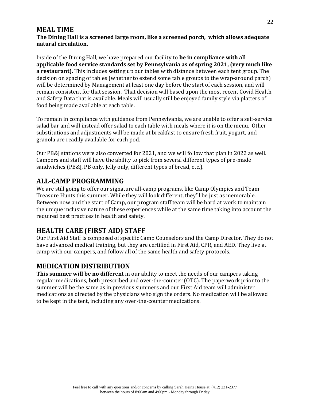#### **MEAL TIME**

#### **The Dining Hall is a screened large room, like a screened porch, which allows adequate natural circulation.**

Inside of the Dining Hall, we have prepared our facility to **be in compliance with all applicable food service standards set by Pennsylvania as of spring 2021, (very much like a restaurant).** This includes setting up our tables with distance between each tent group. The decision on spacing of tables (whether to extend some table groups to the wrap-around parch) will be determined by Management at least one day before the start of each session, and will remain consistent for that session. That decision will based upon the most recent Covid Health and Safety Data that is available. Meals will usually still be enjoyed family style via platters of food being made available at each table.

To remain in compliance with guidance from Pennsylvania, we are unable to offer a self-service salad bar and will instead offer salad to each table with meals where it is on the menu. Other substitutions and adjustments will be made at breakfast to ensure fresh fruit, yogurt, and granola are readily available for each pod.

Our PB&J stations were also converted for 2021, and we will follow that plan in 2022 as well. Campers and staff will have the ability to pick from several different types of pre-made sandwiches (PB&J, PB only, Jelly only, different types of bread, etc.).

#### **ALL-CAMP PROGRAMMING**

We are still going to offer our signature all-camp programs, like Camp Olympics and Team Treasure Hunts this summer. While they will look different, they'll be just as memorable. Between now and the start of Camp, our program staff team will be hard at work to maintain the unique inclusive nature of these experiences while at the same time taking into account the required best practices in health and safety.

#### **HEALTH CARE (FIRST AID) STAFF**

Our First Aid Staff is composed of specific Camp Counselors and the Camp Director. They do not have advanced medical training, but they are certified in First Aid, CPR, and AED. They live at camp with our campers, and follow all of the same health and safety protocols.

#### **MEDICATION DISTRIBUTION**

**This summer will be no different** in our ability to meet the needs of our campers taking regular medications, both prescribed and over-the-counter (OTC). The paperwork prior to the summer will be the same as in previous summers and our First Aid team will administer medications as directed by the physicians who sign the orders. No medication will be allowed to be kept in the tent, including any over-the-counter medications.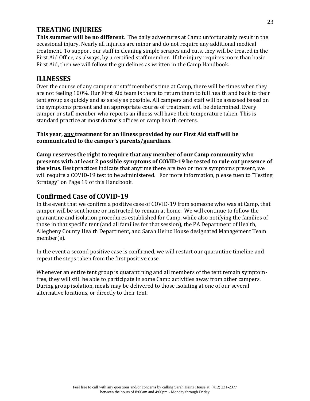#### **TREATING INJURIES**

**This summer will be no different**. The daily adventures at Camp unfortunately result in the occasional injury. Nearly all injuries are minor and do not require any additional medical treatment. To support our staff in cleaning simple scrapes and cuts, they will be treated in the First Aid Office, as always, by a certified staff member. If the injury requires more than basic First Aid, then we will follow the guidelines as written in the Camp Handbook.

#### **ILLNESSES**

Over the course of any camper or staff member's time at Camp, there will be times when they are not feeling 100%. Our First Aid team is there to return them to full health and back to their tent group as quickly and as safely as possible. All campers and staff will be assessed based on the symptoms present and an appropriate course of treatment will be determined. Every camper or staff member who reports an illness will have their temperature taken. This is standard practice at most doctor's offices or camp health centers.

**This year, any treatment for an illness provided by our First Aid staff will be communicated to the camper's parents/guardians.** 

**Camp reserves the right to require that any member of our Camp community who presents with at least 2 possible symptoms of COVID-19 be tested to rule out presence of the virus.** Best practices indicate that anytime there are two or more symptoms present, we will require a COVID-19 test to be administered. For more information, please tuen to "Testing Strategy" on Page 19 of this Handbook.

#### **Confirmed Case of COVID-19**

In the event that we confirm a positive case of COVID-19 from someone who was at Camp, that camper will be sent home or instructed to remain at home. We will continue to follow the quarantine and isolation procedures established for Camp, while also notifying the families of those in that specific tent (and all families for that session), the PA Department of Health, Allegheny County Health Department, and Sarah Heinz House designated Management Team member(s).

In the event a second positive case is confirmed, we will restart our quarantine timeline and repeat the steps taken from the first positive case.

Whenever an entire tent group is quarantining and all members of the tent remain symptomfree, they will still be able to participate in some Camp activities away from other campers. During group isolation, meals may be delivered to those isolating at one of our several alternative locations, or directly to their tent.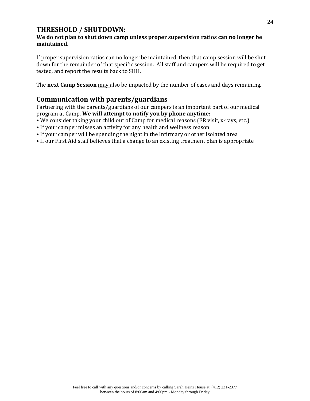#### **THRESHOLD / SHUTDOWN:**

#### **We do not plan to shut down camp unless proper supervision ratios can no longer be maintained.**

If proper supervision ratios can no longer be maintained, then that camp session will be shut down for the remainder of that specific session. All staff and campers will be required to get tested, and report the results back to SHH.

The **next Camp Session** may also be impacted by the number of cases and days remaining.

#### **Communication with parents/guardians**

Partnering with the parents/guardians of our campers is an important part of our medical program at Camp. **We will attempt to notify you by phone anytime:** 

- We consider taking your child out of Camp for medical reasons (ER visit, x-rays, etc.)
- If your camper misses an activity for any health and wellness reason
- If your camper will be spending the night in the Infirmary or other isolated area
- If our First Aid staff believes that a change to an existing treatment plan is appropriate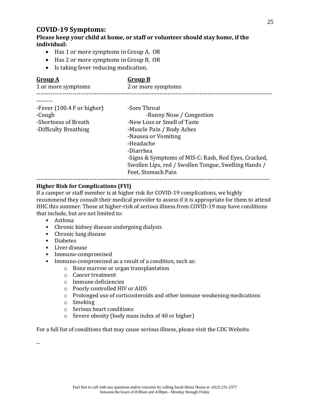#### **COVID-19 Symptoms:**

**Please keep your child at home, or staff or volunteer should stay home, if the individual:**

- Has 1 or more symptoms in Group A, OR
- Has 2 or more symptoms in Group B, OR
- Is taking fever reducing medication.

| -Fever $(100.4 \text{ F or higher})$<br>-Sore Throat<br>-Cough<br>-Runny Nose / Congestion<br>-New Loss or Smell of Taste<br>-Shortness of Breath<br>-Muscle Pain / Body Aches<br>-Difficulty Breathing<br>-Nausea or Vomiting<br>-Headache<br>-Diarrhea<br>-Signs & Symptoms of MIS-C: Rash, Red Eyes, Cracked,<br>Swollen Lips, red / Swollen Tongue, Swelling Hands /<br>Feet, Stomach Pain | <b>Group A</b><br>1 or more symptoms | <b>Group B</b><br>2 or more symptoms |
|------------------------------------------------------------------------------------------------------------------------------------------------------------------------------------------------------------------------------------------------------------------------------------------------------------------------------------------------------------------------------------------------|--------------------------------------|--------------------------------------|
|                                                                                                                                                                                                                                                                                                                                                                                                |                                      |                                      |

#### **Higher Risk for Complications (FYI)**

If a camper or staff member is at higher risk for COVID-19 complications, we highly recommend they consult their medical provider to assess if it is appropriate for them to attend HHC this summer. Those at higher-risk of serious illness from COVID-19 may have conditions that include, but are not limited to:

- Asthma
- Chronic kidney disease undergoing dialysis
- Chronic lung disease
- Diabetes
- Liver disease
- Immuno-compromised
- Immuno-compromised as a result of a condition, such as:
	- o Bone marrow or organ transplantation
	- o Cancer treatment
	- o Immune deficiencies
	- o Poorly controlled HIV or AIDS
	- o Prolonged use of corticosteroids and other immune weakening medications
	- o Smoking
	- o Serious heart conditions
	- o Severe obesity (body mass index of 40 or higher)

For a full list of conditions that may cause serious illness, please visit the CDC Website.

--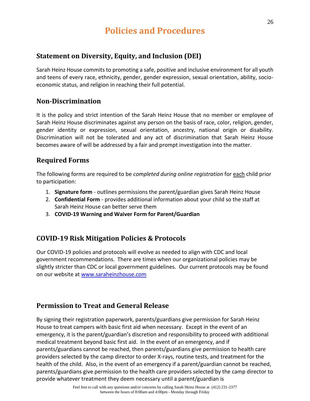### **Policies and Procedures**

#### <span id="page-25-0"></span>**Statement on Diversity, Equity, and Inclusion (DEI)**

Sarah Heinz House commits to promoting a safe, positive and inclusive environment for all youth and teens of every race, ethnicity, gender, gender expression, sexual orientation, ability, socioeconomic status, and religion in reaching their full potential.

#### **Non-Discrimination**

It is the policy and strict intention of the Sarah Heinz House that no member or employee of Sarah Heinz House discriminates against any person on the basis of race, color, religion, gender, gender identity or expression, sexual orientation, ancestry, national origin or disability. Discrimination will not be tolerated and any act of discrimination that Sarah Heinz House becomes aware of will be addressed by a fair and prompt investigation into the matter.

#### **Required Forms**

The following forms are required to be *completed during online registration* for each child prior to participation:

- 1. **Signature form** outlines permissions the parent/guardian gives Sarah Heinz House
- 2. **Confidential Form** provides additional information about your child so the staff at Sarah Heinz House can better serve them
- 3. **COVID-19 Warning and Waiver Form for Parent/Guardian**

#### **COVID-19 Risk Mitigation Policies & Protocols**

Our COVID-19 policies and protocols will evolve as needed to align with CDC and local government recommendations. There are times when our organizational policies may be slightly stricter than CDC or local government guidelines. Our current protocols may be found on our website at [www.saraheinzhouse.com](http://www.saraheinzhouse.com/)

#### **Permission to Treat and General Release**

By signing their registration paperwork, parents/guardians give permission for Sarah Heinz House to treat campers with basic first aid when necessary. Except in the event of an emergency, it is the parent/guardian's discretion and responsibility to proceed with additional medical treatment beyond basic first aid. In the event of an emergency, and if parents/guardians cannot be reached, then parents/guardians give permission to health care providers selected by the camp director to order X-rays, routine tests, and treatment for the health of the child. Also, in the event of an emergency if a parent/guardian cannot be reached, parents/guardians give permission to the health care providers selected by the camp director to provide whatever treatment they deem necessary until a parent/guardian is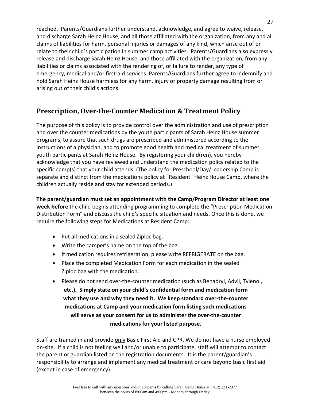reached. Parents/Guardians further understand, acknowledge, and agree to waive, release, and discharge Sarah Heinz House, and all those affiliated with the organization, from any and all claims of liabilities for harm, personal injuries or damages of any kind, which arise out of or relate to their child's participation in summer camp activities. Parents/Guardians also expressly release and discharge Sarah Heinz House, and those affiliated with the organization, from any liabilities or claims associated with the rendering of, or failure to render, any type of emergency, medical and/or first-aid services. Parents/Guardians further agree to indemnify and hold Sarah Heinz House harmless for any harm, injury or property damage resulting from or arising out of their child's actions.

#### **Prescription, Over-the-Counter Medication & Treatment Policy**

The purpose of this policy is to provide control over the administration and use of prescription and over the counter medications by the youth participants of Sarah Heinz House summer programs, to assure that such drugs are prescribed and administered according to the instructions of a physician, and to promote good health and medical treatment of summer youth participants at Sarah Heinz House. By registering your child(ren), you hereby acknowledge that you have reviewed and understand the medication policy related to the specific camp(s) that your child attends. (The policy for Preschool/Day/Leadership Camp is separate and distinct from the medications policy at "Resident" Heinz House Camp, where the children actually reside and stay for extended periods.)

**The parent/guardian must set an appointment with the Camp/Program Director at least one week before** the child begins attending programming to complete the "Prescription Medication Distribution Form" and discuss the child's specific situation and needs. Once this is done, we require the following steps for Medications at Resident Camp:

- Put all medications in a sealed Ziploc bag.
- Write the camper's name on the top of the bag.
- If medication requires refrigeration, please write REFRIGERATE on the bag.
- Place the completed Medication Form for each medication in the sealed Ziploc bag with the medication.
- Please do not send over-the-counter medication (such as Benadryl, Advil, Tylenol, **etc.). Simply state on your child's confidential form and medication form what they use and why they need it. We keep standard over-the-counter medications at Camp and your medication form listing such medications will serve as your consent for us to administer the over-the-counter medications for your listed purpose.**

Staff are trained in and provide only Basic First Aid and CPR. We do not have a nurse employed on-site. If a child is not feeling well and/or unable to participate, staff will attempt to contact the parent or guardian listed on the registration documents. It is the parent/guardian's responsibility to arrange and implement any medical treatment or care beyond basic first aid (except in case of emergency).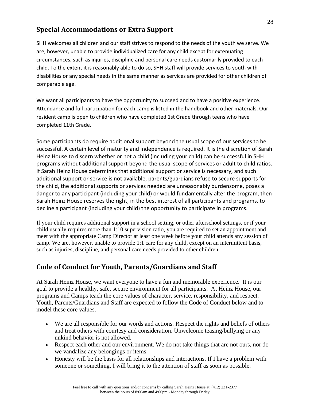#### **Special Accommodations or Extra Support**

SHH welcomes all children and our staff strives to respond to the needs of the youth we serve. We are, however, unable to provide individualized care for any child except for extenuating circumstances, such as injuries, discipline and personal care needs customarily provided to each child. To the extent it is reasonably able to do so, SHH staff will provide services to youth with disabilities or any special needs in the same manner as services are provided for other children of comparable age.

We want all participants to have the opportunity to succeed and to have a positive experience. Attendance and full participation for each camp is listed in the handbook and other materials. Our resident camp is open to children who have completed 1st Grade through teens who have completed 11th Grade.

Some participants do require additional support beyond the usual scope of our services to be successful. A certain level of maturity and independence is required. It is the discretion of Sarah Heinz House to discern whether or not a child (including your child) can be successful in SHH programs without additional support beyond the usual scope of services or adult to child ratios. If Sarah Heinz House determines that additional support or service is necessary, and such additional support or service is not available, parents/guardians refuse to secure supports for the child, the additional supports or services needed are unreasonably burdensome, poses a danger to any participant (including your child) or would fundamentally alter the program, then Sarah Heinz House reserves the right, in the best interest of all participants and programs, to decline a participant (including your child) the opportunity to participate in programs.

If your child requires additional support in a school setting, or other afterschool settings, or if your child usually requires more than 1:10 supervision ratio, you are required to set an appointment and meet with the appropriate Camp Director at least one week before your child attends any session of camp. We are, however, unable to provide 1:1 care for any child, except on an intermittent basis, such as injuries, discipline, and personal care needs provided to other children.

#### **Code of Conduct for Youth, Parents/Guardians and Staff**

At Sarah Heinz House, we want everyone to have a fun and memorable experience. It is our goal to provide a healthy, safe, secure environment for all participants. At Heinz House, our programs and Camps teach the core values of character, service, responsibility, and respect. Youth, Parents/Guardians and Staff are expected to follow the Code of Conduct below and to model these core values.

- We are all responsible for our words and actions. Respect the rights and beliefs of others and treat others with courtesy and consideration. Unwelcome teasing/bullying or any unkind behavior is not allowed.
- Respect each other and our environment. We do not take things that are not ours, nor do we vandalize any belongings or items.
- Honesty will be the basis for all relationships and interactions. If I have a problem with someone or something, I will bring it to the attention of staff as soon as possible.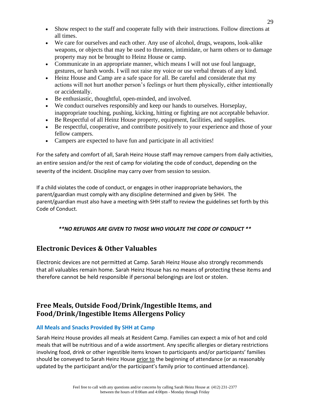- Show respect to the staff and cooperate fully with their instructions. Follow directions at all times.
- We care for ourselves and each other. Any use of alcohol, drugs, weapons, look-alike weapons, or objects that may be used to threaten, intimidate, or harm others or to damage property may not be brought to Heinz House or camp.
- Communicate in an appropriate manner, which means I will not use foul language, gestures, or harsh words. I will not raise my voice or use verbal threats of any kind.
- Heinz House and Camp are a safe space for all. Be careful and considerate that my actions will not hurt another person's feelings or hurt them physically, either intentionally or accidentally.
- Be enthusiastic, thoughtful, open-minded, and involved.
- We conduct ourselves responsibly and keep our hands to ourselves. Horseplay, inappropriate touching, pushing, kicking, hitting or fighting are not acceptable behavior.
- Be Respectful of all Heinz House property, equipment, facilities, and supplies.
- Be respectful, cooperative, and contribute positively to your experience and those of your fellow campers.
- Campers are expected to have fun and participate in all activities!

For the safety and comfort of all, Sarah Heinz House staff may remove campers from daily activities, an entire session and/or the rest of camp for violating the code of conduct, depending on the severity of the incident. Discipline may carry over from session to session.

If a child violates the code of conduct, or engages in other inappropriate behaviors, the parent/guardian must comply with any discipline determined and given by SHH. The parent/guardian must also have a meeting with SHH staff to review the guidelines set forth by this Code of Conduct.

#### *\*\*NO REFUNDS ARE GIVEN TO THOSE WHO VIOLATE THE CODE OF CONDUCT \*\**

#### **Electronic Devices & Other Valuables**

Electronic devices are not permitted at Camp. Sarah Heinz House also strongly recommends that all valuables remain home. Sarah Heinz House has no means of protecting these items and therefore cannot be held responsible if personal belongings are lost or stolen.

#### **Free Meals, Outside Food/Drink/Ingestible Items, and Food/Drink/Ingestible Items Allergens Policy**

#### **All Meals and Snacks Provided By SHH at Camp**

Sarah Heinz House provides all meals at Resident Camp. Families can expect a mix of hot and cold meals that will be nutritious and of a wide assortment. Any specific allergies or dietary restrictions involving food, drink or other ingestible items known to participants and/or participants' families should be conveyed to Sarah Heinz House prior to the beginning of attendance (or as reasonably updated by the participant and/or the participant's family prior to continued attendance).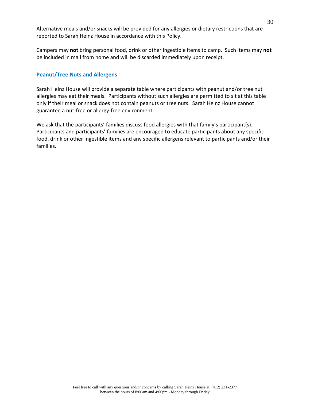Alternative meals and/or snacks will be provided for any allergies or dietary restrictions that are reported to Sarah Heinz House in accordance with this Policy.

Campers may **not** bring personal food, drink or other ingestible items to camp. Such items may **not** be included in mail from home and will be discarded immediately upon receipt.

#### **Peanut/Tree Nuts and Allergens**

Sarah Heinz House will provide a separate table where participants with peanut and/or tree nut allergies may eat their meals. Participants without such allergies are permitted to sit at this table only if their meal or snack does not contain peanuts or tree nuts. Sarah Heinz House cannot guarantee a nut-free or allergy-free environment.

We ask that the participants' families discuss food allergies with that family's participant(s). Participants and participants' families are encouraged to educate participants about any specific food, drink or other ingestible items and any specific allergens relevant to participants and/or their families.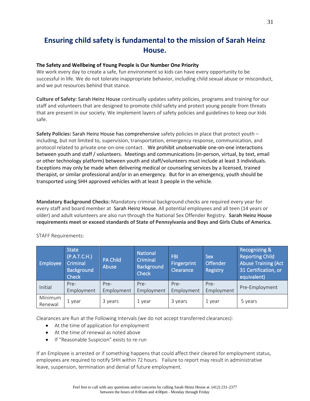### **Ensuring child safety is fundamental to the mission of Sarah Heinz House.**

#### **The Safety and Wellbeing of Young People is Our Number One Priority**

We work every day to create a safe, fun environment so kids can have every opportunity to be successful in life. We do not tolerate inappropriate behavior, including child sexual abuse or misconduct, and we put resources behind that stance.

**Culture of Safety:** Sarah Heinz House continually updates safety policies, programs and training for our staff and volunteers that are designed to promote child safety and protect young people from threats that are present in our society. We implement layers of safety policies and guidelines to keep our kids safe.

**Safety Policies:** Sarah Heinz House has comprehensive safety policies in place that protect youth – including, but not limited to, supervision, transportation, emergency response, communication, and protocol related to private one-on-one contact. We prohibit unobservable one-on-one interactions between youth and staff / volunteers. Meetings and communications (in-person, virtual, by text, email or other technology platform) between youth and staff/volunteers must include at least 3 individuals. Exceptions may only be made when delivering medical or counseling services by a licensed, trained therapist, or similar professional and/or in an emergency. But for in an emergency, youth should be transported using SHH approved vehicles with at least 3 people in the vehicle.

**Mandatory Background Checks:** Mandatory criminal background checks are required every year for every staff and board member at Sarah Heinz House. All potential employees and all teen (14 years or older) and adult volunteers are also run through the National Sex Offender Registry. **Sarah Heinz House requirements meet or exceed standards of State of Pennsylvania and Boys and Girls Clubs of America.** 

| <b>Employee</b>    | <b>State</b><br>(P.A.T.C.H.)<br>Criminal<br><b>Background</b><br><b>Check</b> | <b>PA Child</b><br>Abuse | <b>National</b><br>Criminal<br><b>Background</b><br><b>Check</b> | <b>FBI</b><br>Fingerprint<br>Clearance | <b>Sex</b><br><b>Offender</b><br>Registry | <b>Recognizing &amp;</b><br><b>Reporting Child</b><br><b>Abuse Training (Act</b><br>31 Certification, or<br>equivalent) |
|--------------------|-------------------------------------------------------------------------------|--------------------------|------------------------------------------------------------------|----------------------------------------|-------------------------------------------|-------------------------------------------------------------------------------------------------------------------------|
| Initial            | Pre-<br>Employment                                                            | Pre-<br>Employment       | Pre-<br>Employment                                               | Pre-<br>Employment                     | Pre-<br>Employment                        | Pre-Employment                                                                                                          |
| Minimum<br>Renewal | 1 year                                                                        | 3 years                  | 1 year                                                           | 3 years                                | 1 year                                    | 5 years                                                                                                                 |

STAFF Requirements:

Clearances are Run at the Following Intervals (we do not accept transferred clearances):

- At the time of application for employment
- At the time of renewal as noted above
- If "Reasonable Suspicion" exists to re-run

If an Employee is arrested or if something happens that could affect their cleared for employment status, employees are required to notify SHH within 72 hours. Failure to report may result in administrative leave, suspension, termination and denial of future employment.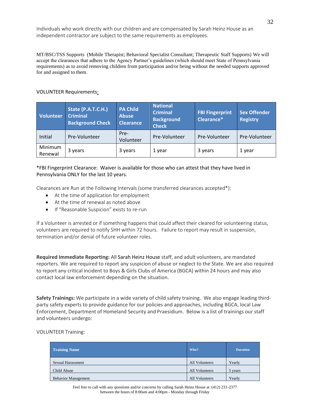Individuals who work directly with our children and are compensated by Sarah Heinz House as an independent contractor are subject to the same requirements as employees.

MT/BSC/TSS Supports (Mobile Therapist; Behavioral Specialist Consultant; Therapeutic Staff Supports) We will accept the clearances that adhere to the Agency Partner's guidelines (which should meet State of Pennsylvania requirements) as to avoid removing children from participation and/or being without the needed supports approved for and assigned to them.

#### VOLUNTEER Requirements:

| <b>Volunteer</b>   | State (P.A.T.C.H.)<br><b>Criminal</b><br><b>Background Check</b> | <b>PA Child</b><br><b>Abuse</b><br><b>Clearance</b> | <b>National</b><br><b>Criminal</b><br><b>Background</b><br><b>Check</b> | <b>FBI Fingerprint</b><br>Clearance* | <b>Sex Offender</b><br><b>Registry</b> |
|--------------------|------------------------------------------------------------------|-----------------------------------------------------|-------------------------------------------------------------------------|--------------------------------------|----------------------------------------|
| Initial            | Pre-Volunteer                                                    | Pre-<br>Volunteer                                   | Pre-Volunteer                                                           | Pre-Volunteer                        | Pre-Volunteer                          |
| Minimum<br>Renewal | 3 years                                                          | 3 years                                             | 1 year                                                                  | 3 years                              | 1 year                                 |

#### \*FBI Fingerprint Clearance: Waiver is available for those who can attest that they have lived in Pennsylvania ONLY for the last 10 years.

Clearances are Run at the Following Intervals (some transferred clearances accepted\*):

- At the time of application for employment
- At the time of renewal as noted above
- If "Reasonable Suspicion" exists to re-run

If a Volunteer is arrested or if something happens that could affect their cleared for volunteering status, volunteers are required to notify SHH within 72 hours. Failure to report may result in suspension, termination and/or denial of future volunteer roles.

**Required Immediate Reporting:** All Sarah Heinz House staff, and adult volunteers, are mandated reporters. We are required to report any suspicion of abuse or neglect to the State. We are also required to report any critical incident to Boys & Girls Clubs of America (BGCA) within 24 hours and may also contact local law enforcement depending on the situation.

**Safety Trainings:** We participate in a wide variety of child safety training. We also engage leading thirdparty safety experts to provide guidance for our policies and approaches, including BGCA, local Law Enforcement, Department of Homeland Security and Praesidium. Below is a list of trainings our staff and volunteers undergo:

#### VOLUNTEER Training:

| <b>Training Name</b>       | Who?           | <b>Duration</b> |
|----------------------------|----------------|-----------------|
| Sexual Harassment          | All Volunteers | Yearly          |
| Child Abuse                | All Volunteers | 5 years         |
| <b>Behavior Management</b> | All Volunteers | Yearly          |

Feel free to call with any questions and/or concerns by calling Sarah Heinz House at (412) 231-2377 between the hours of 8:00am and 4:00pm - Monday through Friday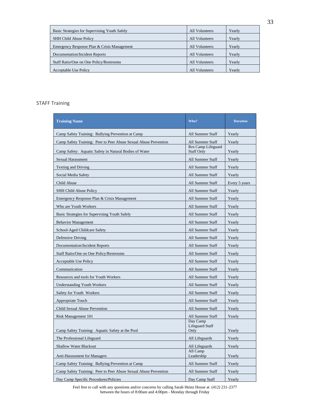| Basic Strategies for Supervising Youth Safely | All Volunteers | Yearly |
|-----------------------------------------------|----------------|--------|
| <b>SHH Child Abuse Policy</b>                 | All Volunteers | Yearly |
| Emergency Response Plan & Crisis Management   | All Volunteers | Yearly |
| <b>Documentation/Incident Reports</b>         | All Volunteers | Yearly |
| Staff Ratio/One on One Policy/Restrooms       | All Volunteers | Yearly |
| <b>Acceptable Use Policy</b>                  | All Volunteers | Yearly |

#### STAFF Training

| <b>Training Name</b>                                             | Who?                                       | <b>Duration</b> |
|------------------------------------------------------------------|--------------------------------------------|-----------------|
| Camp Safety Training: Bullying Prevention at Camp                | All Summer Staff                           | Yearly          |
| Camp Safety Training: Peer to Peer Abuse Sexual Abuse Prevention | All Summer Staff                           | Yearly          |
| Camp Safety: Aquatic Safety in Natural Bodies of Water           | Res Camp Lifeguard<br><b>Staff Only</b>    | Yearly          |
| Sexual Harassment                                                | All Summer Staff                           | Yearly          |
| <b>Texting and Driving</b>                                       | <b>All Summer Staff</b>                    | Yearly          |
| Social Media Safety                                              | All Summer Staff                           | Yearly          |
| Child Abuse                                                      | All Summer Staff                           | Every 5 years   |
| <b>SHH Child Abuse Policy</b>                                    | All Summer Staff                           | Yearly          |
| Emergency Response Plan & Crisis Management                      | All Summer Staff                           | Yearly          |
| Who are Youth Workers                                            | All Summer Staff                           | Yearly          |
| Basic Strategies for Supervising Youth Safely                    | All Summer Staff                           | Yearly          |
| <b>Behavior Management</b>                                       | All Summer Staff                           | Yearly          |
| School-Aged Childcare Safety                                     | All Summer Staff                           | Yearly          |
| Defensive Driving                                                | All Summer Staff                           | Yearly          |
| <b>Documentation/Incident Reports</b>                            | All Summer Staff                           | Yearly          |
| Staff Ratio/One on One Policy/Restrooms                          | All Summer Staff                           | Yearly          |
| Acceptable Use Policy                                            | All Summer Staff                           | Yearly          |
| Communication                                                    | All Summer Staff                           | Yearly          |
| Resources and tools for Youth Workers                            | All Summer Staff                           | Yearly          |
| <b>Understanding Youth Workers</b>                               | All Summer Staff                           | Yearly          |
| Safety for Youth Workers                                         | All Summer Staff                           | Yearly          |
| Appropriate Touch                                                | All Summer Staff                           | Yearly          |
| Child Sexual Abuse Prevention                                    | All Summer Staff                           | Yearly          |
| Risk Management 101                                              | All Summer Staff                           | Yearly          |
| Camp Safety Training: Aquatic Safety at the Pool                 | Day Camp<br><b>Lifeguard Staff</b><br>Only | Yearly          |
| The Professional Lifeguard                                       | All Lifeguards                             | Yearly          |
| Shallow Water Blackout                                           | All Lifeguards                             | Yearly          |
| <b>Anti-Harassment for Managers</b>                              | All Camp<br>Leadership                     | Yearly          |
| Camp Safety Training: Bullying Prevention at Camp                | All Summer Staff                           | Yearly          |
| Camp Safety Training: Peer to Peer Abuse Sexual Abuse Prevention | All Summer Staff                           | Yearly          |
| Day Camp Specific Procedures/Policies                            | Day Camp Staff                             | Yearly          |

Feel free to call with any questions and/or concerns by calling Sarah Heinz House at (412) 231-2377 between the hours of 8:00am and 4:00pm - Monday through Friday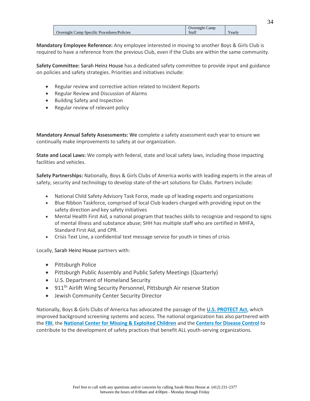|                                             | <b>Overnight Camp</b> |                        |
|---------------------------------------------|-----------------------|------------------------|
| Overnight Camp Specific Procedures/Policies | Staff                 | $\mathbf{v}$<br>Yearly |
|                                             |                       |                        |

**Mandatory Employee Reference:** Any employee interested in moving to another Boys & Girls Club is required to have a reference from the previous Club, even if the Clubs are within the same community.

**Safety Committee:** Sarah Heinz House has a dedicated safety committee to provide input and guidance on policies and safety strategies. Priorities and initiatives include:

- Regular review and corrective action related to Incident Reports
- Regular Review and Discussion of Alarms
- Building Safety and Inspection
- Regular review of relevant policy

**Mandatory Annual Safety Assessments:** We complete a safety assessment each year to ensure we continually make improvements to safety at our organization.

**State and Local Laws:** We comply with federal, state and local safety laws, including those impacting facilities and vehicles.

**Safety Partnerships:** Nationally, Boys & Girls Clubs of America works with leading experts in the areas of safety, security and technology to develop state-of-the-art solutions for Clubs. Partners include:

- National Child Safety Advisory Task Force, made up of leading experts and organizations
- Blue Ribbon Taskforce, comprised of local Club leaders charged with providing input on the safety direction and key safety initiatives
- Mental Health First Aid, a national program that teaches skills to recognize and respond to signs of mental illness and substance abuse; SHH has multiple staff who are certified in MHFA, Standard First Aid, and CPR.
- Crisis Text Line, a confidential text message service for youth in times of crisis

Locally, Sarah Heinz House partners with:

- Pittsburgh Police
- Pittsburgh Public Assembly and Public Safety Meetings (Quarterly)
- U.S. Department of Homeland Security
- 911<sup>th</sup> Airlift Wing Security Personnel, Pittsburgh Air reserve Station
- Jewish Community Center Security Director

Nationally, Boys & Girls Clubs of America has advocated the passage of the **[U.S. PROTECT Act](https://www.congress.gov/bill/108th-congress/senate-bill/151)**, which improved background screening systems and access. The national organization has also partnered with the **[FBI](https://www.fbi.gov/)**, the **[National Center for Missing & Exploited Children](http://www.missingkids.com/home)** and the **[Centers for Disease Control](https://www.cdc.gov/)** to contribute to the development of safety practices that benefit ALL youth-serving organizations.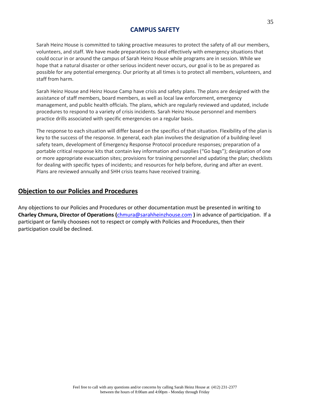#### **CAMPUS SAFETY**

Sarah Heinz House is committed to taking proactive measures to protect the safety of all our members, volunteers, and staff. We have made preparations to deal effectively with emergency situations that could occur in or around the campus of Sarah Heinz House while programs are in session. While we hope that a natural disaster or other serious incident never occurs, our goal is to be as prepared as possible for any potential emergency. Our priority at all times is to protect all members, volunteers, and staff from harm.

Sarah Heinz House and Heinz House Camp have crisis and safety plans. The plans are designed with the assistance of staff members, board members, as well as local law enforcement, emergency management, and public health officials. The plans, which are regularly reviewed and updated, include procedures to respond to a variety of crisis incidents. Sarah Heinz House personnel and members practice drills associated with specific emergencies on a regular basis.

The response to each situation will differ based on the specifics of that situation. Flexibility of the plan is key to the success of the response. In general, each plan involves the designation of a building-level safety team, development of Emergency Response Protocol procedure responses*;* preparation of a portable critical response kits that contain key information and supplies ("Go bags"); designation of one or more appropriate evacuation sites; provisions for training personnel and updating the plan; checklists for dealing with specific types of incidents; and resources for help before, during and after an event. Plans are reviewed annually and SHH crisis teams have received training.

#### **Objection to our Policies and Procedures**

Any objections to our Policies and Procedures or other documentation must be presented in writing to **Charley Chmura, Director of Operations (**[chmura@sarahheinzhouse.com](mailto:chmura@sarahheinzhouse.com) **)** in advance of participation. If a participant or family choosees not to respect or comply with Policies and Procedures, then their participation could be declined.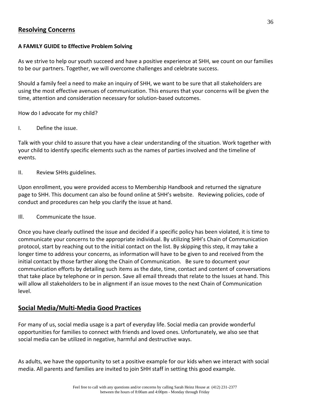#### **Resolving Concerns**

#### **A FAMILY GUIDE to Effective Problem Solving**

As we strive to help our youth succeed and have a positive experience at SHH, we count on our families to be our partners. Together, we will overcome challenges and celebrate success.

Should a family feel a need to make an inquiry of SHH, we want to be sure that all stakeholders are using the most effective avenues of communication. This ensures that your concerns will be given the time, attention and consideration necessary for solution-based outcomes.

How do I advocate for my child?

I. Define the issue.

Talk with your child to assure that you have a clear understanding of the situation. Work together with your child to identify specific elements such as the names of parties involved and the timeline of events.

II. Review SHHs guidelines.

Upon enrollment, you were provided access to Membership Handbook and returned the signature page to SHH. This document can also be found online at SHH's website. Reviewing policies, code of conduct and procedures can help you clarify the issue at hand.

Ill. Communicate the Issue.

Once you have clearly outlined the issue and decided if a specific policy has been violated, it is time to communicate your concerns to the appropriate individual. By utilizing SHH's Chain of Communication protocol, start by reaching out to the initial contact on the list. By skipping this step, it may take a longer time to address your concerns, as information will have to be given to and received from the initial contact by those farther along the Chain of Communication. Be sure to document your communication efforts by detailing such items as the date, time, contact and content of conversations that take place by telephone or in person. Save all email threads that relate to the Issues at hand. This will allow all stakeholders to be in alignment if an issue moves to the next Chain of Communication level.

#### **Social Media/Multi-Media Good Practices**

For many of us, social media usage is a part of everyday life. Social media can provide wonderful opportunities for families to connect with friends and loved ones. Unfortunately, we also see that social media can be utilized in negative, harmful and destructive ways.

As adults, we have the opportunity to set a positive example for our kids when we interact with social media. All parents and families are invited to join SHH staff in setting this good example.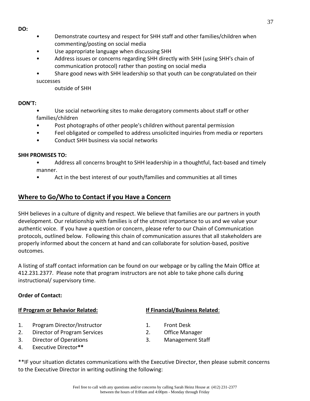- **DO:**
- Demonstrate courtesy and respect for SHH staff and other families/children when commenting/posting on social media
- Use appropriate language when discussing SHH
- Address issues or concerns regarding SHH directly with SHH (using SHH's chain of communication protocol) rather than posting on social media
- Share good news with SHH leadership so that youth can be congratulated on their successes

outside of SHH

#### **DON'T:**

- Use social networking sites to make derogatory comments about staff or other families/children
- Post photographs of other people's children without parental permission
- Feel obligated or compelled to address unsolicited inquiries from media or reporters
- Conduct SHH business via social networks

#### **SHH PROMISES TO:**

- Address all concerns brought to SHH leadership in a thoughtful, fact-based and timely manner.
- Act in the best interest of our youth/families and communities at all times

#### **Where to Go/Who to Contact if you Have a Concern**

SHH believes in a culture of dignity and respect. We believe that families are our partners in youth development. Our relationship with families is of the utmost importance to us and we value your authentic voice. If you have a question or concern, please refer to our Chain of Communication protocols, outlined below. Following this chain of communication assures that all stakeholders are properly informed about the concern at hand and can collaborate for solution-based, positive outcomes.

A listing of staff contact information can be found on our webpage or by calling the Main Office at 412.231.2377. Please note that program instructors are not able to take phone calls during instructional/ supervisory time.

#### **Order of Contact:**

#### **If Program or Behavior Related: If Financial/Business Related**:

- 1. Program Director/Instructor 1. Front Desk
- 2. Director of Program Services 2. Office Manager
- 3. Director of Operations 3. Management Staff
- 4. Executive Director**\*\***

- 
- 
- 

\*\*IF your situation dictates communications with the Executive Director, then please submit concerns to the Executive Director in writing outlining the following: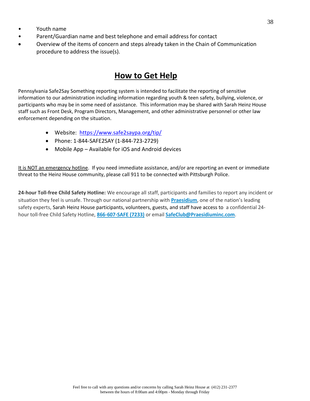- Youth name
- Parent/Guardian name and best telephone and email address for contact
- Overview of the items of concern and steps already taken in the Chain of Communication procedure to address the issue(s).

### **How to Get Help**

Pennsylvania Safe2Say Something reporting system is intended to facilitate the reporting of sensitive information to our administration including information regarding youth & teen safety, bullying, violence, or participants who may be in some need of assistance. This information may be shared with Sarah Heinz House staff such as Front Desk, Program Directors, Management, and other administrative personnel or other law enforcement depending on the situation.

- Website: <https://www.safe2saypa.org/tip/>
- Phone: 1-844-SAFE2SAY (1-844-723-2729)
- Mobile App Available for iOS and Android devices

It is NOT an emergency hotline. If you need immediate assistance, and/or are reporting an event or immediate threat to the Heinz House community, please call 911 to be connected with Pittsburgh Police.

**24-hour Toll-free Child Safety Hotline:** We encourage all staff, participants and families to report any incident or situation they feel is unsafe. Through our national partnership with **[Praesidium](https://website.praesidiuminc.com/wp/)**, one of the nation's leading safety experts, Sarah Heinz House participants, volunteers, guests, and staff have access to a confidential 24 hour toll-free Child Safety Hotline, **[866-607-SAFE \(7233\)](tel:+1-866-607-7233)** or email **[SafeClub@Praesidiuminc.com](mailto:SafeClub@Praesidiuminc.com)**.